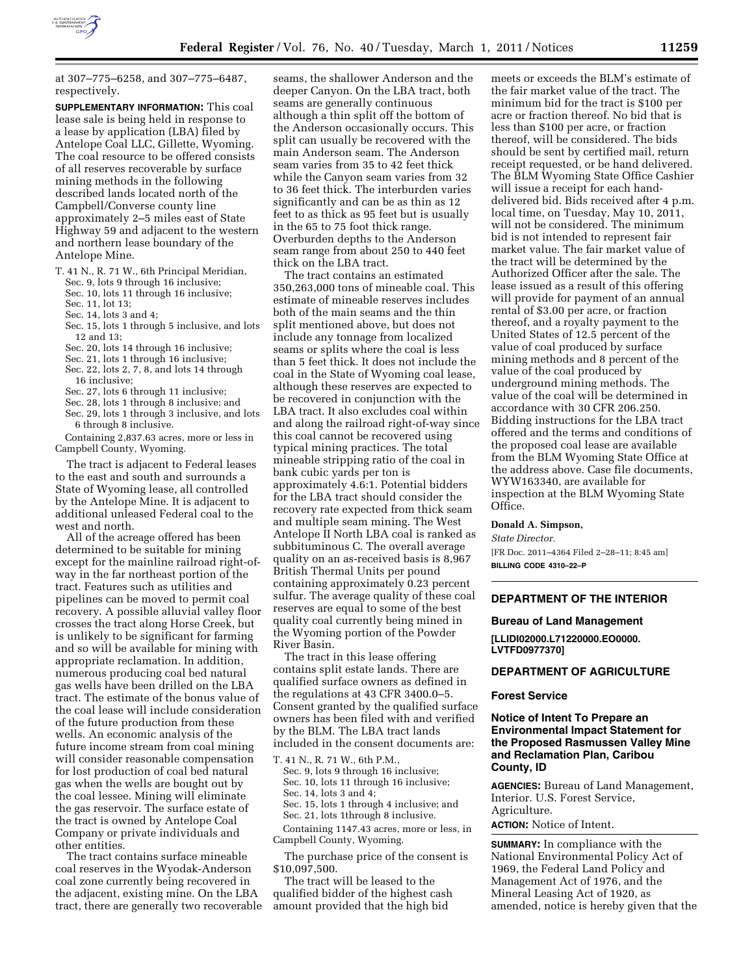

at 307–775–6258, and 307–775–6487, respectively.

**SUPPLEMENTARY INFORMATION:** This coal lease sale is being held in response to a lease by application (LBA) filed by Antelope Coal LLC, Gillette, Wyoming. The coal resource to be offered consists of all reserves recoverable by surface mining methods in the following described lands located north of the Campbell/Converse county line approximately 2–5 miles east of State Highway 59 and adjacent to the western and northern lease boundary of the Antelope Mine.

- T. 41 N., R. 71 W., 6th Principal Meridian,
	- Sec. 9, lots 9 through 16 inclusive;
	- Sec. 10, lots 11 through 16 inclusive;
	- Sec. 11, lot 13;
	- Sec. 14, lots 3 and 4;
	- Sec. 15, lots 1 through 5 inclusive, and lots 12 and 13;
	- Sec. 20, lots 14 through 16 inclusive;
	- Sec. 21, lots 1 through 16 inclusive;
	- Sec. 22, lots 2, 7, 8, and lots 14 through 16 inclusive;
	- Sec. 27, lots 6 through 11 inclusive;
	- Sec. 28, lots 1 through 8 inclusive; and Sec. 29, lots 1 through 3 inclusive, and lots 6 through 8 inclusive.
- Containing 2,837.63 acres, more or less in Campbell County, Wyoming.

The tract is adjacent to Federal leases to the east and south and surrounds a State of Wyoming lease, all controlled by the Antelope Mine. It is adjacent to additional unleased Federal coal to the west and north.

All of the acreage offered has been determined to be suitable for mining except for the mainline railroad right-ofway in the far northeast portion of the tract. Features such as utilities and pipelines can be moved to permit coal recovery. A possible alluvial valley floor crosses the tract along Horse Creek, but is unlikely to be significant for farming and so will be available for mining with appropriate reclamation. In addition, numerous producing coal bed natural gas wells have been drilled on the LBA tract. The estimate of the bonus value of the coal lease will include consideration of the future production from these wells. An economic analysis of the future income stream from coal mining will consider reasonable compensation for lost production of coal bed natural gas when the wells are bought out by the coal lessee. Mining will eliminate the gas reservoir. The surface estate of the tract is owned by Antelope Coal Company or private individuals and other entities.

The tract contains surface mineable coal reserves in the Wyodak-Anderson coal zone currently being recovered in the adjacent, existing mine. On the LBA tract, there are generally two recoverable seams, the shallower Anderson and the deeper Canyon. On the LBA tract, both seams are generally continuous although a thin split off the bottom of the Anderson occasionally occurs. This split can usually be recovered with the main Anderson seam. The Anderson seam varies from 35 to 42 feet thick while the Canyon seam varies from 32 to 36 feet thick. The interburden varies significantly and can be as thin as 12 feet to as thick as 95 feet but is usually in the 65 to 75 foot thick range. Overburden depths to the Anderson seam range from about 250 to 440 feet thick on the LBA tract.

The tract contains an estimated 350,263,000 tons of mineable coal. This estimate of mineable reserves includes both of the main seams and the thin split mentioned above, but does not include any tonnage from localized seams or splits where the coal is less than 5 feet thick. It does not include the coal in the State of Wyoming coal lease, although these reserves are expected to be recovered in conjunction with the LBA tract. It also excludes coal within and along the railroad right-of-way since this coal cannot be recovered using typical mining practices. The total mineable stripping ratio of the coal in bank cubic yards per ton is approximately 4.6:1. Potential bidders for the LBA tract should consider the recovery rate expected from thick seam and multiple seam mining. The West Antelope II North LBA coal is ranked as subbituminous C. The overall average quality on an as-received basis is 8,967 British Thermal Units per pound containing approximately 0.23 percent sulfur. The average quality of these coal reserves are equal to some of the best quality coal currently being mined in the Wyoming portion of the Powder River Basin.

The tract in this lease offering contains split estate lands. There are qualified surface owners as defined in the regulations at 43 CFR 3400.0–5. Consent granted by the qualified surface owners has been filed with and verified by the BLM. The LBA tract lands included in the consent documents are:

T. 41 N., R. 71 W., 6th P.M.,

Sec. 9, lots 9 through 16 inclusive;

Sec. 10, lots 11 through 16 inclusive;

Sec. 14, lots 3 and 4;

Sec. 15, lots 1 through 4 inclusive; and

Sec. 21, lots 1through 8 inclusive.

Containing 1147.43 acres, more or less, in Campbell County, Wyoming.

The purchase price of the consent is \$10,097,500.

The tract will be leased to the qualified bidder of the highest cash amount provided that the high bid

meets or exceeds the BLM's estimate of the fair market value of the tract. The minimum bid for the tract is \$100 per acre or fraction thereof. No bid that is less than \$100 per acre, or fraction thereof, will be considered. The bids should be sent by certified mail, return receipt requested, or be hand delivered. The BLM Wyoming State Office Cashier will issue a receipt for each handdelivered bid. Bids received after 4 p.m. local time, on Tuesday, May 10, 2011, will not be considered. The minimum bid is not intended to represent fair market value. The fair market value of the tract will be determined by the Authorized Officer after the sale. The lease issued as a result of this offering will provide for payment of an annual rental of \$3.00 per acre, or fraction thereof, and a royalty payment to the United States of 12.5 percent of the value of coal produced by surface mining methods and 8 percent of the value of the coal produced by underground mining methods. The value of the coal will be determined in accordance with 30 CFR 206.250. Bidding instructions for the LBA tract offered and the terms and conditions of the proposed coal lease are available from the BLM Wyoming State Office at the address above. Case file documents, WYW163340, are available for inspection at the BLM Wyoming State Office.

#### **Donald A. Simpson,**

*State Director.*  [FR Doc. 2011–4364 Filed 2–28–11; 8:45 am]

**BILLING CODE 4310–22–P** 

# **DEPARTMENT OF THE INTERIOR**

## **Bureau of Land Management**

**[LLIDI02000.L71220000.EO0000. LVTFD0977370]** 

## **DEPARTMENT OF AGRICULTURE**

### **Forest Service**

# **Notice of Intent To Prepare an Environmental Impact Statement for the Proposed Rasmussen Valley Mine and Reclamation Plan, Caribou County, ID**

**AGENCIES:** Bureau of Land Management, Interior. U.S. Forest Service, Agriculture. **ACTION:** Notice of Intent.

**SUMMARY:** In compliance with the National Environmental Policy Act of 1969, the Federal Land Policy and Management Act of 1976, and the Mineral Leasing Act of 1920, as

amended, notice is hereby given that the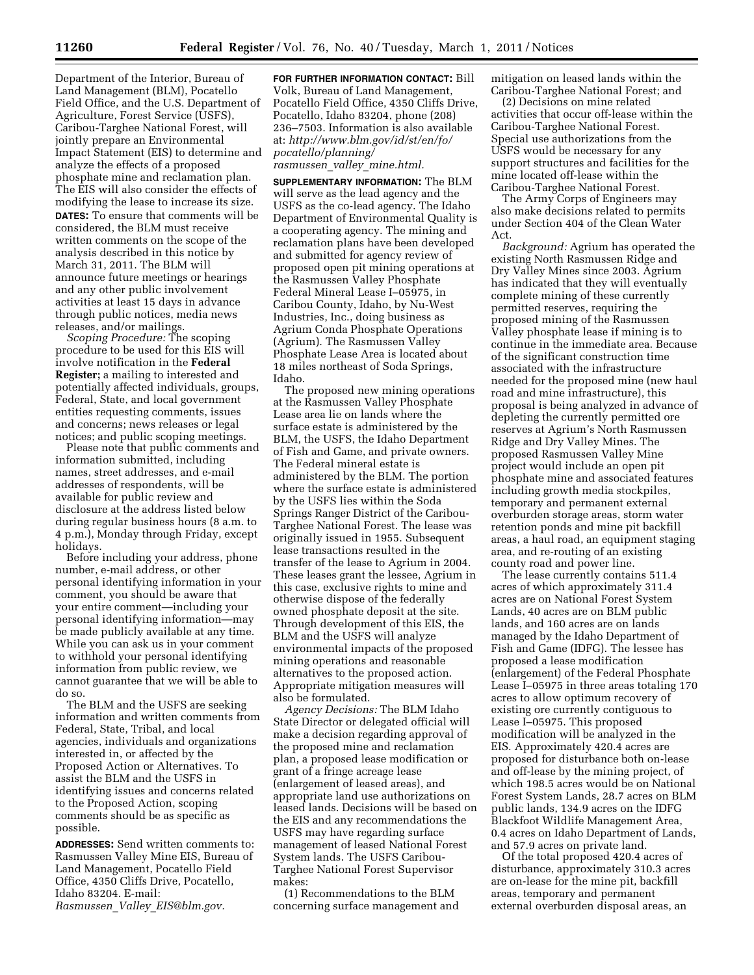Department of the Interior, Bureau of Land Management (BLM), Pocatello Field Office, and the U.S. Department of Agriculture, Forest Service (USFS), Caribou-Targhee National Forest, will jointly prepare an Environmental Impact Statement (EIS) to determine and analyze the effects of a proposed phosphate mine and reclamation plan. The EIS will also consider the effects of modifying the lease to increase its size. **DATES:** To ensure that comments will be considered, the BLM must receive written comments on the scope of the analysis described in this notice by March 31, 2011. The BLM will announce future meetings or hearings and any other public involvement activities at least 15 days in advance through public notices, media news releases, and/or mailings.

*Scoping Procedure:* The scoping procedure to be used for this EIS will involve notification in the **Federal Register;** a mailing to interested and potentially affected individuals, groups, Federal, State, and local government entities requesting comments, issues and concerns; news releases or legal notices; and public scoping meetings.

Please note that public comments and information submitted, including names, street addresses, and e-mail addresses of respondents, will be available for public review and disclosure at the address listed below during regular business hours (8 a.m. to 4 p.m.), Monday through Friday, except holidays.

Before including your address, phone number, e-mail address, or other personal identifying information in your comment, you should be aware that your entire comment—including your personal identifying information—may be made publicly available at any time. While you can ask us in your comment to withhold your personal identifying information from public review, we cannot guarantee that we will be able to do so.

The BLM and the USFS are seeking information and written comments from Federal, State, Tribal, and local agencies, individuals and organizations interested in, or affected by the Proposed Action or Alternatives. To assist the BLM and the USFS in identifying issues and concerns related to the Proposed Action, scoping comments should be as specific as possible.

**ADDRESSES:** Send written comments to: Rasmussen Valley Mine EIS, Bureau of Land Management, Pocatello Field Office, 4350 Cliffs Drive, Pocatello, Idaho 83204. E-mail: *Rasmussen*\_*Valley*\_*[EIS@blm.gov.](mailto:Rasmussen_Valley_EIS@blm.gov)* 

**FOR FURTHER INFORMATION CONTACT:** Bill Volk, Bureau of Land Management, Pocatello Field Office, 4350 Cliffs Drive, Pocatello, Idaho 83204, phone (208) 236–7503. Information is also available at: *[http://www.blm.gov/id/st/en/fo/](http://www.blm.gov/id/st/en/fo/pocatello/planning/rasmussen_valley_mine.html) [pocatello/planning/](http://www.blm.gov/id/st/en/fo/pocatello/planning/rasmussen_valley_mine.html) rasmussen*\_*valley*\_*[mine.html.](http://www.blm.gov/id/st/en/fo/pocatello/planning/rasmussen_valley_mine.html)* 

**SUPPLEMENTARY INFORMATION:** The BLM will serve as the lead agency and the USFS as the co-lead agency. The Idaho Department of Environmental Quality is a cooperating agency. The mining and reclamation plans have been developed and submitted for agency review of proposed open pit mining operations at the Rasmussen Valley Phosphate Federal Mineral Lease I–05975, in Caribou County, Idaho, by Nu-West Industries, Inc., doing business as Agrium Conda Phosphate Operations (Agrium). The Rasmussen Valley Phosphate Lease Area is located about 18 miles northeast of Soda Springs, Idaho.

The proposed new mining operations at the Rasmussen Valley Phosphate Lease area lie on lands where the surface estate is administered by the BLM, the USFS, the Idaho Department of Fish and Game, and private owners. The Federal mineral estate is administered by the BLM. The portion where the surface estate is administered by the USFS lies within the Soda Springs Ranger District of the Caribou-Targhee National Forest. The lease was originally issued in 1955. Subsequent lease transactions resulted in the transfer of the lease to Agrium in 2004. These leases grant the lessee, Agrium in this case, exclusive rights to mine and otherwise dispose of the federally owned phosphate deposit at the site. Through development of this EIS, the BLM and the USFS will analyze environmental impacts of the proposed mining operations and reasonable alternatives to the proposed action. Appropriate mitigation measures will also be formulated.

*Agency Decisions:* The BLM Idaho State Director or delegated official will make a decision regarding approval of the proposed mine and reclamation plan, a proposed lease modification or grant of a fringe acreage lease (enlargement of leased areas), and appropriate land use authorizations on leased lands. Decisions will be based on the EIS and any recommendations the USFS may have regarding surface management of leased National Forest System lands. The USFS Caribou-Targhee National Forest Supervisor makes:

(1) Recommendations to the BLM concerning surface management and mitigation on leased lands within the Caribou-Targhee National Forest; and

(2) Decisions on mine related activities that occur off-lease within the Caribou-Targhee National Forest. Special use authorizations from the USFS would be necessary for any support structures and facilities for the mine located off-lease within the Caribou-Targhee National Forest.

The Army Corps of Engineers may also make decisions related to permits under Section 404 of the Clean Water Act.

*Background:* Agrium has operated the existing North Rasmussen Ridge and Dry Valley Mines since 2003. Agrium has indicated that they will eventually complete mining of these currently permitted reserves, requiring the proposed mining of the Rasmussen Valley phosphate lease if mining is to continue in the immediate area. Because of the significant construction time associated with the infrastructure needed for the proposed mine (new haul road and mine infrastructure), this proposal is being analyzed in advance of depleting the currently permitted ore reserves at Agrium's North Rasmussen Ridge and Dry Valley Mines. The proposed Rasmussen Valley Mine project would include an open pit phosphate mine and associated features including growth media stockpiles, temporary and permanent external overburden storage areas, storm water retention ponds and mine pit backfill areas, a haul road, an equipment staging area, and re-routing of an existing county road and power line.

The lease currently contains 511.4 acres of which approximately 311.4 acres are on National Forest System Lands, 40 acres are on BLM public lands, and 160 acres are on lands managed by the Idaho Department of Fish and Game (IDFG). The lessee has proposed a lease modification (enlargement) of the Federal Phosphate Lease I–05975 in three areas totaling 170 acres to allow optimum recovery of existing ore currently contiguous to Lease I–05975. This proposed modification will be analyzed in the EIS. Approximately 420.4 acres are proposed for disturbance both on-lease and off-lease by the mining project, of which 198.5 acres would be on National Forest System Lands, 28.7 acres on BLM public lands, 134.9 acres on the IDFG Blackfoot Wildlife Management Area, 0.4 acres on Idaho Department of Lands, and 57.9 acres on private land.

Of the total proposed 420.4 acres of disturbance, approximately 310.3 acres are on-lease for the mine pit, backfill areas, temporary and permanent external overburden disposal areas, an